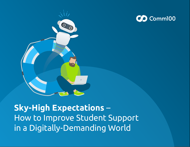



**Sky-High Expectations** – How to Improve Student Support in a Digitally-Demanding World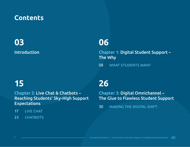# **Contents**

# [Introduction](#page-2-0) **03**

# **06**

[Chapter 1: Digital Student Support –](#page-5-0)  The Why

[08 WHAT STUDENTS WANT](#page-7-0)

# **15**

Chapter 2: Live Chat & Chatbots – [Reaching Students' Sky-High Support](#page-14-0)  Expectations

- [17 LIVE CHAT](#page-16-0)
- [23 CHATBOTS](#page-22-0)

# **26**

Chapter 3: Digital Omnichannel – [The Glue to Flawless Student Support](#page-25-0)

[30 MAKING THE DIGITAL SHIFT](#page-29-0)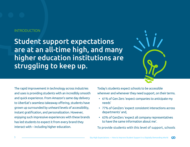#### <span id="page-2-0"></span>INTRODUCTION

Student support expectations are at an all-time high, and many higher education institutions are struggling to keep up.



The rapid improvement in technology across industries and uses is providing students with an incredibly smooth and quick experience. From Amazon's same day delivery to UberEat's seamless takeaway offering, students have grown up surrounded by unheard levels of accessibility, instant gratification, and personalization. However, enjoying such impressive experiences with these brands has led students to expect it from every brand they interact with – including higher education.

Today's students expect schools to be accessible wherever and whenever they need support, on their terms.

- 61% of Gen Zers 'expect companies to anticipate my needs'
- 77% of GenZers 'expect consistent interactions across departments' and,
- 63% of GenZers 'expect all company representatives to have the same information about me'.

To provide students with this level of support, schools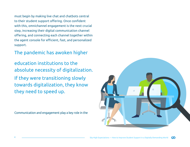must begin by making live chat and chatbots central to their student support offering. Once confident with this, omnichannel engagement is the next crucial step, increasing their digital communication channel offering, and connecting each channel together within the agent console for efficient, fast, and personalized support.

### The pandemic has awoken higher

education institutions to the absolute necessity of digitalization. If they were transitioning slowly towards digitalization, they know they need to speed up.

Communication and engagement play a key role in the

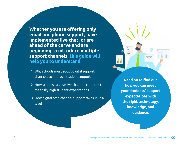**Whether you are offering only email and phone support, have implemented live chat, or are ahead of the curve and are beginning to introduce multiple support channels, this guide will help you to understand:**

- 1. Why schools must adopt digital support channels to improve student support
- 2. How schools can use live chat and chatbots to meet sky-high student expectations
- 3. How digital omnichannel support takes it up a level

**Read on to find out how you can meet your students' support expectations with the right technology, knowledge, and guidance.**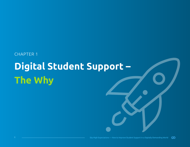# <span id="page-5-0"></span>CHAPTER 1 **Digital Student Support – The Why**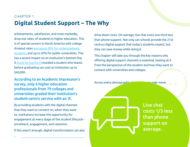# **Digital Student Support – The Why** CHAPTER 1

achievements, satisfaction, and most markedly, drop-out rates, of students in higher education. This is of special concern in North America with college dropout rates [averaging 40% for undergraduate](https://www.thinkimpact.com/college-dropout-rates/)  [students](https://www.thinkimpact.com/college-dropout-rates/), and up to 50% for public universities. This has a severe impact on an institution's bottom line. A [study by Stanford](https://collegepuzzle.stanford.edu/cost-of-postsecondary-student-attrition/) revealed a student who leaves before graduating can cost an institution up to \$40,000.

According to an Academic Impression's survey, only 6 higher education professionals from 79 colleges and universities graded their institution's student-centric service with an 'A'.

By providing students with the digital channels that they want to connect on, when they want to, institutions increase the opportunity for engagement at every stage of the student lifecycle enrolment, engagement, and retention.

If this wasn't enough, digital transformation can also

drive down costs. On average, live chat costs one third less than phone support. Not only can schools provide the 21st century digital support that today's students expect, but they can save money while doing it.

This chapter will take you through the key reasons why offering digital support channels is essential, looking at it from the perspective of the student and how they want to connect with universities and colleges.

Across every demographic, the international move

Live chat costs 1/3 less than phone support on average.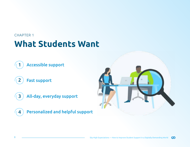- <span id="page-7-0"></span>1 Accessible support
- 2 Fast support
- 3 All-day, everyday support
- 4 Personalized and helpful support

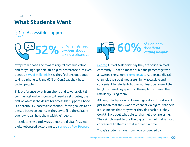

**Accessible support** 

52% of Millenials feel<br>taking a phone call

away from phone and towards digital communication, and for younger people, this digital preference runs even deeper. [52% of Millennials](https://www.highspeedinternet.com/providers/wireless) say they feel anxious about taking a phone call, and 60% of Gen Z say they 'hate calling people'.

This preference away from phone and towards digital communication boils down to three key attributes, the first of which is the desire for accessible support. Phone is a notoriously inaccessible channel, forcing callers to be passed between agents as they try to find the suitable agent who can help them with their query.

In stark contrast, today's students are digital-first, and digital-obsessed. According to a survey by Pew Research



[Center,](https://www.pewresearch.org/internet/2018/05/31/teens-social-media-technology-2018/) 45% of Millennials say they are online "almost constantly." That's almost double the percentage who answered the same [three years ago](https://www.pewresearch.org/internet/2015/04/09/teens-social-media-technology-2015/). As a result, digital channels like social media are highly accessible and convenient for students to use, not least because of the length of time they spend on these platforms and their familiarity using them.

Although today's students are digital-first, this doesn't just mean that they want to connect via digital channels. It also means that they want they do reach out, they don't think about what digital channel they are using. They simply want to use the digital channel that is most convenient to them at that moment in time.

Today's students have grown up surrounded by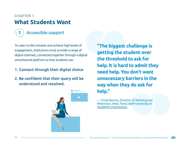# Accessible support

To cater to this mindset and achieve high levels of engagement, institutions must provide a range of digital channels, connected together through a digital omnichannel platform so that students can:

#### 1. Connect through their digital choice

2. Be confident that their query will be understood and resolved.



**"The biggest challenge is getting the student over the threshold to ask for help. It is hard to admit they need help. You don't want unnecessary barriers in the way when they do ask for help."**

— Cindy Barnes, Director of Advising and Retention, West Texas A&M University in [Academic Impressions](https://www.higheredjobs.com/articles/articleDisplay.cfm?ID=814)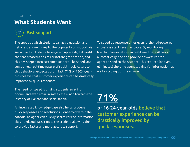### CHAPTER 1 **What Students Want**



The speed at which students can ask a question and get a fast answer is key to the popularity of support via social media. Students have grown up in a digital world that has created a desire for instant gratification, and this has seeped into customer support. The speed, and sometimes, real-time nature of social media caters to this behavioral expectation. In fact, 71% of 16-24-yearolds believe that customer experience can be drastically improved by quick responses.

To speed up response times even further, AI-powered virtual assistants are invaluable. By monitoring live chat conversations in real-time, these AI tools automatically find and provide answers for the agent to send to the student. This reduces (or even eliminates) the time spent looking for information, as well as typing out the answer.

The need for speed is driving students away from phone (and even email in some cases), and towards the instancy of live chat and social media.

An integrated knowledge base also helps produce quick responses and resolutions. Connected within the console, an agent can quickly search for the information they need, and pass it on to the student, allowing them to provide faster and more accurate support.

# [of 16-24-year-olds](https://www.comm100.com/resources/infographic/millennials-prefer-live-chat-speed-convenience/) believe that customer experience can be drastically improved by quick responses. [71%](https://www.comm100.com/resources/infographic/millennials-prefer-live-chat-speed-convenience/)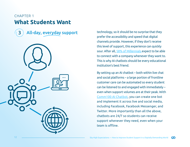3 All-day, everyday support



technology, so it should be no surprise that they prefer the accessibility and speed that digital channels provide. However, if they don't receive this level of support, this experience can quickly sour. After all, [58% of Millennials](https://www.comm100.com/resources/infographic/millennials-prefer-live-chat-speed-convenience/) expect to be able to connect with a company whenever they want to. This is why AI chatbots should be every educational institution's best friend.

By setting up an AI chatbot – both within live chat and social platforms – a large portion of frontline customer care can be automated so every student can be listened to and engaged with immediately – even when support volumes are at their peak. With [Comm100 AI Chatbot](https://www.comm100.com/platform/chatbots/), you can create one bot and implement it across live and social media, including Facebook, Facebook Messenger, and Twitter. More importantly than all the above, chatbots are 24/7 so students can receive support whenever they need, even when your team is offline.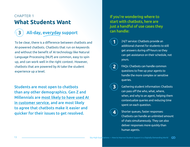# 3 All-day, everyday support

To be clear, there is a difference between chatbots and AI-powered chatbots. Chatbots that run on keywords and without the benefit of AI technology like Natural Language Processing (NLP) are common, easy to spin up, and can work well in the right context. However, chatbots that are powered by AI take the student experience up a level.

Students are most open to chatbots than any other demographics. Gen Z and Millennials are [most likely to have used AI](https://get.niceincontact.com/rs/069-KVM-666/images/0003139_en_2019-NICE-inContact-CX-Transformation-Benchmark-Global-Consumers-eBook.pdf)  [in customer service,](https://get.niceincontact.com/rs/069-KVM-666/images/0003139_en_2019-NICE-inContact-CX-Transformation-Benchmark-Global-Consumers-eBook.pdf) and are most likely to agree that chatbots make it easier and quicker for their issues to get resolved.

#### If you're wondering where to start with chatbots, here are just a handful of use cases they can handle:

**1**

**4**

- 24/7 service: Chatbots provide an additional channel for students to still get answers during off-hours so they can get assistance on their schedule, not yours.
- FAQs: Chatbots can handle common questions to free up your agents to handle the more complex or sensitive queries. **2**
- Gathering student information: Chatbots can pass off the who, what, where, when, and why to an agent, helping them contextualize queries and reducing time spent on each question. **3**
	- Shorter queues, faster responses: Chatbots can handle an unlimited amount of chats simultaneously. They can also deliver responses more quickly than human agents.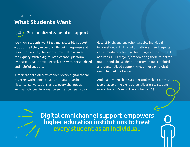### CHAPTER 1 **What Students Want**

### Personalized & helpful support

We know students want fast and accessible support – but this all they expect. While quick response and resolution is vital, the support must also answer their query. With a digital omnichannel platform, institutions can provide exactly this with personalized and helpful support.

 Omnichannel platforms connect every digital channel together within one console, bringing together historical conversations across every channel, as well as individual information such as course history,

date of birth, and any other valuable individual information. With this information at hand, agents can immediately build a clear image of the student and their full lifecycle, empowering them to better understand the student and provide more helpful and personalized support. (Read more on digital omnichannel in Chapter 3)

Audio and video chat is a great tool within Comm100 Live Chat to bring extra personalization to student interactions. (More on this in Chapter 2.)

Digital omnichannel support empowers higher education institutions to treat every student as an individual.

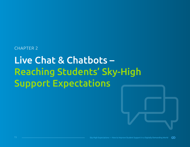#### <span id="page-14-0"></span>CHAPTER 2

# Live Chat & Chatbots – Reaching Students' Sky-High Support Expectations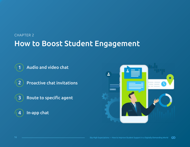# How to Boost Student Engagement CHAPTER 2

- Audio and video chat
- 2 Proactive chat invitations
- 3) Route to specific agent
	- In-app chat



4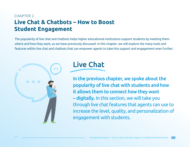<span id="page-16-0"></span>The popularity of live chat and chatbots helps higher educational institutions support students by meeting them where and how they want, as we have previously discussed. In this chapter, we will explore the many tools and features within live chat and chatbots that can empower agents to take this support and engagement even further.





In the previous chapter, we spoke about the popularity of live chat with students and how it allows them to connect how they want – digitally. In this section, we will take you through live chat features that agents can use to increase the level, quality, and personalization of engagement with students.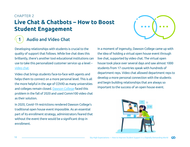#### CHAPTER 2

# **Live Chat & Chatbots – How to Boost Student Engagement**



### **Audio and Video Chat**

Developing relationships with students is crucial to the quality of support that follows. While live chat does this brilliantly, there's another tool educational institutions can use to take this personalized customer service up a level – video chat.

Video chat brings students face-to-face with agents and helps them to connect on a more personal level. This is all the more helpful in the age of COVID as many universities and colleges remain closed. Dawson College faced this problem in the fall of 2020 and used Comm100 video chat as their solution.

In 2020, Covid-19 restrictions rendered Dawson College's traditional open house event impossible. As an essential part of its enrollment strategy, administrators feared that without the event there would be a significant drop in enrollment.

In a moment of ingenuity, Dawson College came up with the idea of holding a virtual open house event through live chat, supported by video chat. The virtual open house took place over several days and saw almost 1000 students from 17 countries speak with hundreds of department reps. Video chat allowed department reps to develop a more personal connection with the students and begin building relationships that are always so important to the success of an open house event.

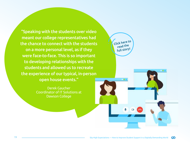["Speaking with the students over video](https://www.comm100.com/customers/dawson-college/?campaign_id=FeaturedResources-blog-how-can-educational-institutions-elevate-their-customer-service)  [meant our college representatives had](https://www.comm100.com/customers/dawson-college/?campaign_id=FeaturedResources-blog-how-can-educational-institutions-elevate-their-customer-service)  [the chance to connect with the students](https://www.comm100.com/customers/dawson-college/?campaign_id=FeaturedResources-blog-how-can-educational-institutions-elevate-their-customer-service)  [on a more personal level, as if they](https://www.comm100.com/customers/dawson-college/?campaign_id=FeaturedResources-blog-how-can-educational-institutions-elevate-their-customer-service)  [were face-to-face. This is so important](https://www.comm100.com/customers/dawson-college/?campaign_id=FeaturedResources-blog-how-can-educational-institutions-elevate-their-customer-service)  [to developing relationships with the](https://www.comm100.com/customers/dawson-college/?campaign_id=FeaturedResources-blog-how-can-educational-institutions-elevate-their-customer-service)  [students and allowed us to recreate](https://www.comm100.com/customers/dawson-college/?campaign_id=FeaturedResources-blog-how-can-educational-institutions-elevate-their-customer-service)  [the experience of our typical, in-person](https://www.comm100.com/customers/dawson-college/?campaign_id=FeaturedResources-blog-how-can-educational-institutions-elevate-their-customer-service)  [open house events."](https://www.comm100.com/customers/dawson-college/?campaign_id=FeaturedResources-blog-how-can-educational-institutions-elevate-their-customer-service)

> [Derek Gaucher](https://www.comm100.com/customers/dawson-college/?campaign_id=FeaturedResources-blog-how-can-educational-institutions-elevate-their-customer-service) [Coordinator of IT Solutions at](https://www.comm100.com/customers/dawson-college/?campaign_id=FeaturedResources-blog-how-can-educational-institutions-elevate-their-customer-service)  [Dawson College](https://www.comm100.com/customers/dawson-college/?campaign_id=FeaturedResources-blog-how-can-educational-institutions-elevate-their-customer-service)

[Click here to](https://www.comm100.com/customers/dawson-college/?campaign_id=FeaturedResources-blog-how-can-educational-institutions-elevate-their-customer-service)  [read the](https://www.comm100.com/customers/dawson-college/?campaign_id=FeaturedResources-blog-how-can-educational-institutions-elevate-their-customer-service)  [full story!](https://www.comm100.com/customers/dawson-college/?campaign_id=FeaturedResources-blog-how-can-educational-institutions-elevate-their-customer-service)

D.

**DB**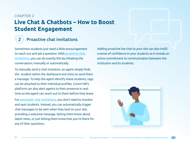# 2 Proactive chat invitations

Sometimes students just need a little encouragement to reach out and ask a question. With [proactive chat](https://www.comm100.com/platform/livechat/agent-experience/proactive-chat/)  [invitations](https://www.comm100.com/platform/livechat/agent-experience/proactive-chat/), you can do exactly this by initiating the conversation; manually or automatically.

To manually send a chat invitation, an agent simply finds the student within the dashboard and clicks to send them a message. To help the agent identify these students, tags can be attached to their individual profiles. Comm100's platform can also alert agents to their presence in realtime so the agent can reach out to them before they leave.

For [automatic chat invitations](https://www.comm100.com/platform/livechat/agent-experience/proactive-chat/?campaign_id=Blog-how-to-use-live-chat-to-support-the-ecommerce-customer-journey), you don't need to monitor and spot students. Instead, you can automatically trigger chat messages to be sent when they land on your site, providing a welcome message, letting them know about latest news, or just letting them know that you're there for any of their questions.

Adding proactive live chat to your site can also instill a sense of confidence in your students as it reveals an active commitment to communication between the institution and its students.

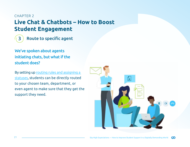#### CHAPTER 2

# **Live Chat & Chatbots – How to Boost Student Engagement**



We've spoken about agents initiating chats, but what if the student does?

By setting up routing rules and assigning a [statuse](https://www.comm100.com/platform/livechat/manager-experience/chat-routing/?campaign_id=Blog-how-to-use-live-chat-to-support-the-ecommerce-customer-journey)s, students can be directly routed to your chosen team, department, or even agent to make sure that they get the support they need.

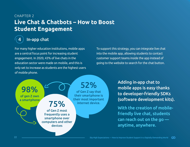### In-app chat

For many higher education institutions, mobile apps are a central focus point for increasing student engagement. In 2020, 43% of live chats in the education sector were made on mobile, and this is only set to increase as students are the highest users of mobile phone.

To support this strategy, you can integrate live chat into the mobile app, allowing students to contact customer support teams inside the app instead of going to the website to search for the chat button.



Adding in-app chat to mobile apps is easy thanks to developer-friendly SDKs (software development kits).

With the creation of mobilefriendly live chat, students can reach out on the go anytime, anywhere.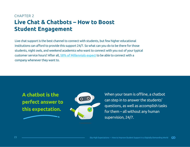<span id="page-22-0"></span>Live chat support is the best channel to connect with students, but few higher educational institutions can afford to provide this support 24/7. So what can you do to be there for those students, night owls, and weekend academics who want to connect with you out of your typical customer service hours? After all, [58% of Millennials expect](https://www.comm100.com/resources/infographic/millennials-prefer-live-chat-speed-convenience/) to be able to connect with a company whenever they want to.





When your team is offline, a chatbot can step in to answer the students' questions, as well as accomplish tasks for them – all without any human supervision, 24/7.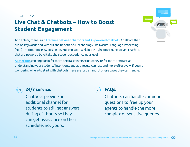To be clear, there is a [difference between chatbots and AI-powered chatbots](https://www.comm100.com/blog/top-10-chatbot-faqs.html). Chatbots that run on keywords and without the benefit of AI technology like Natural Language Processing (NLP) are common, easy to spin up, and can work well in the right context. However, chatbots that are powered by AI take the student experience up a level.

[AI chatbots](https://www.comm100.com/platform/chatbots/ai/) can engage in far more natural conversations; they're far more accurate at understanding your students' intentions, and as a result, can respond more effectively. If you're wondering where to start with chatbots, here are just a handful of use cases they can handle:



#### 1 **24/7 service:** 2

Chatbots provide an additional channel for students to still get answers during off-hours so they can get assistance on their schedule, not yours.



#### **FAQs:**

Chatbots can handle common questions to free up your agents to handle the more complex or sensitive queries.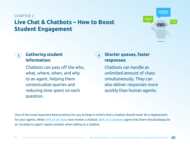

#### **Gathering student 1988 information:**

Chatbots can pass off the who, what, where, when, and why to an agent, helping them contextualize queries and reducing time spent on each question.

#### **Shorter queues, faster responses:**

Chatbots can handle an unlimited amount of chats simultaneously. They can also deliver responses more quickly than human agents.

One of the most important best practices for you to keep in mind is that a chatbot should never be a replacement for your agents. While [59% of all chats](https://www.comm100.com/resources/report/chatbot-statistics/) now involve a chatbot, [86% of customers](https://www.comm100.com/resources/report/chatbot-statistics/) agree that there should always be an 'escalate to agent' option present when talking to a chatbot.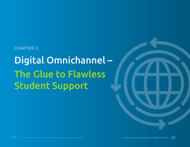# <span id="page-25-0"></span>CHAPTER 3 Digital Omnichannel – The Glue to Flawless Student Support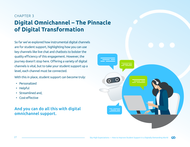# **Digital Omnichannel – The Pinnacle of Digital Transformation** CHAPTER 3

So far we've explored how instrumental digital channels are for student support, highlighting how you can use key channels like live chat and chatbots to bolster the quality efficiency of this engagement. However, the journey doesn't stop here. Offering a variety of digital channels is vital, but to take your student support up a level, each channel must be connected.

With this in place, student support can become truly:

- Personalized
- Helpful
- Streamlined and,
- Cost-effective

#### And you can do all this with digital omnichannel support.

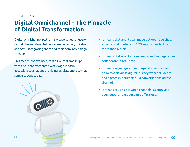# **Digital Omnichannel – The Pinnacle of Digital Transformation** CHAPTER 3

Digital omnichannel platforms weave together every digital channel - live chat, social media, email, ticketing, and SMS - integrating them and their data into a single console.

This means, for example, that a live chat transcript with a student from three weeks ago is easily accessible to an agent providing email support to that same student today.



- It means that agents can move between live chat, email, social media, and SMS support with little more than a click.
- It means that agents, team leads, and managers can collaborate in real-time.
- It means saying goodbye to operational silos and hello to a flawless digital journey where students and agents experience fluid conversations across channels.
- It means routing between channels, agents, and even departments becomes effortless.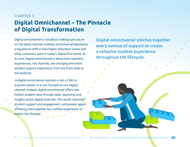# **Digital Omnichannel – The Pinnacle of Digital Transformation** CHAPTER 3

Digital omnichannel is not about making sure you're on the latest channel. Instead, omnichannel represents a big-picture shift in how higher education works and what customers want in today's digital-first world. At its core, digital omnichannel is about how seamless experiences, not channels, are changing the entire student support experience, from the front desk to the backend.

 A digital omnichannel solution is not a CRM or a phone system. It is not focused on one digital channel. Instead, digital omnichannel offers one holistic student view through data, reporting, and insights across digital channels. The result: improved student support and engagement, and greater agent efficiency tied together by a unified experience no matter the channel.

Digital omnichannel stitches together every avenue of support to create a cohesive student experience throughout the lifecycle.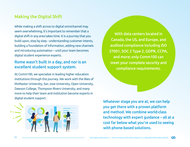#### <span id="page-29-0"></span>Making the Digital Shift

While making a shift across to digital omnichannel may seem overwhelming, it's important to remember that a digital shift in any area takes time. It is a journey that you build upon, step by step - understanding customer intents, building a foundation of information, adding new channels and introducing automation – until your team becomes digital student experience experts.

#### Rome wasn't built in a day, and nor is an excellent student support system.

At Comm100, we specialize in leading higher education institutions through this journey. We work with the likes of McMaster University, San Jose University, Open University, Dawson College, Thompson Rivers University, and many more to help their team and institution become experts in digital student support.



[With data centers located in](https://www.comm100.com/)  [Canada, the US, and Europe, and](https://www.comm100.com/)  [audited compliance including ISO](https://www.comm100.com/)  [27001, SOC 2 Type 2, GDPR, CCPA,](https://www.comm100.com/)  [and more; only Comm100 can](https://www.comm100.com/)  [meet your complete security and](https://www.comm100.com/)  [compliance requirements.](https://www.comm100.com/)

Whatever stage you are at, we can help you get there with a proven platform and method. We combine world-class technology with expert guidance – all at a cost far below what you're used to seeing with phone-based solutions.